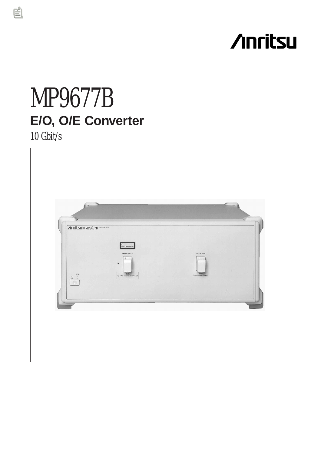# **/inritsu**

# MP9677B **E/O, O/E Converter**

10 Gbit/s

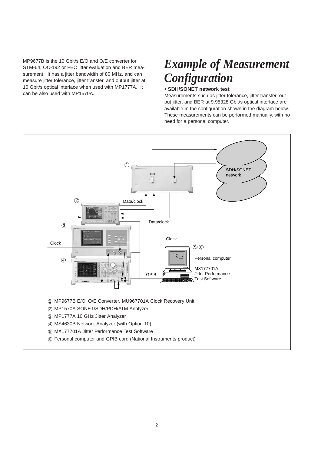MP9677B is the 10 Gbit/s E/O and O/E converter for STM-64, OC-192 or FEC jitter evaluation and BER measurement. It has a jitter bandwidth of 80 MHz, and can measure jitter tolerance, jitter transfer, and output jitter at 10 Gbit/s optical interface when used with MP1777A. It can be also used with MP1570A.

# *Example of Measurement Configuration*

# **• SDH/SONET network test**

Measurements such as jitter tolerance, jitter transfer, output jitter, and BER at 9.95328 Gbit/s optical interface are available in the configuration shown in the diagram below. These measurements can be performed manually, with no need for a personal computer.

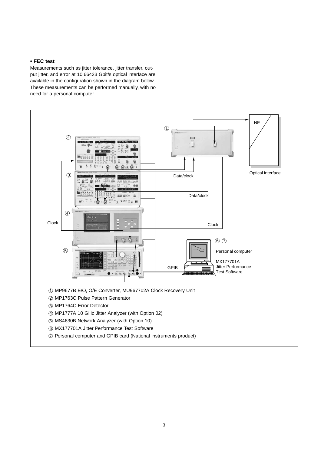# **• FEC test**

Measurements such as jitter tolerance, jitter transfer, output jitter, and error at 10.66423 Gbit/s optical interface are available in the configuration shown in the diagram below. These measurements can be performed manually, with no need for a personal computer.

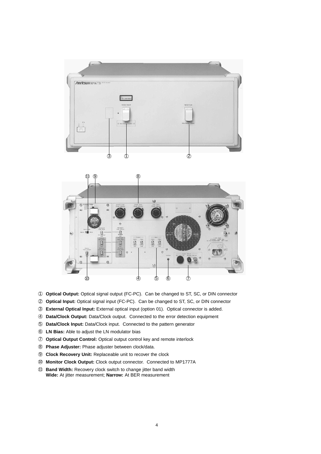



- ① Optical Output: Optical signal output (FC-PC). Can be changed to ST, SC, or DIN connector
- 2 Optical Input: Optical signal input (FC-PC). Can be changed to ST, SC, or DIN connector
- 3 External Optical Input: External optical input (option 01). Optical connector is added.
- 4 Data/Clock Output: Data/Clock output. Connected to the error detection equipment
- 5 Data/Clock Input: Data/Clock input. Connected to the pattern generator
- 6 LN Bias: Able to adjust the LN modulator bias
- 7 Optical Output Control: Optical output control key and remote interlock
- 8 Phase Adjuster: Phase adjuster between clock/data.
- <sup>9</sup> Clock Recovery Unit: Replaceable unit to recover the clock
- <sup>1</sup> Monitor Clock Output: Clock output connector. Connected to MP1777A
- 11 Band Width: Recovery clock switch to change jitter band width Wide: At jitter measurement; Narrow: At BER measurement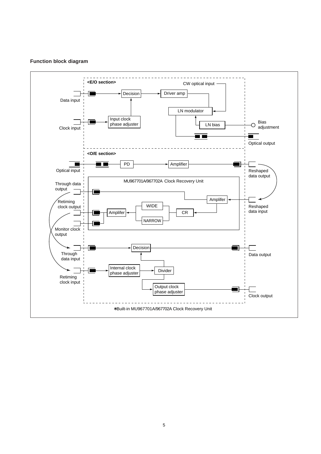# **Function block diagram**

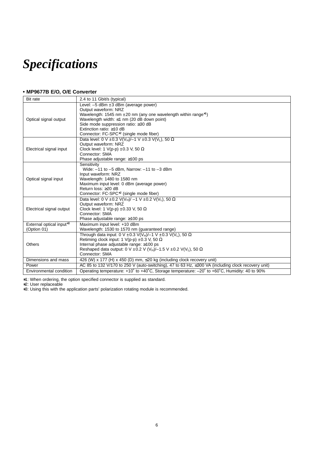# *Specifications*

# **• MP9677B E/O, O/E Converter**

| <b>Bit rate</b>                                     | 2.4 to 11 Gbit/s (typical)                                                                                                                                                                                                                                                                                                                  |
|-----------------------------------------------------|---------------------------------------------------------------------------------------------------------------------------------------------------------------------------------------------------------------------------------------------------------------------------------------------------------------------------------------------|
| Optical signal output                               | Level: $-5$ dBm $\pm 3$ dBm (average power)<br>Output waveform: NRZ<br>Wavelength: 1545 nm $\pm 20$ nm (any one wavelength within range <sup>*1</sup> )<br>Wavelength width: $\leq 1$ nm (20 dB down point)<br>Side mode suppression ratio: ≥30 dB<br>Extinction ratio: $\geq$ 10 dB<br>Connector: FC-SPC <sup>*2</sup> (single mode fiber) |
| Electrical signal input                             | Data level: 0 V ± 0.3 V(V <sub>H</sub> )/-1 V ± 0.3 V(V <sub>L</sub> ), 50 $\Omega$<br>Output waveform: NRZ<br>Clock level: 1 V(p-p) $\pm 0.3$ V, 50 $\Omega$<br>Connector: SMA<br>Phase adjustable range: ≥100 ps                                                                                                                          |
| Optical signal input                                | Sensitivity<br>Wide: $-11$ to $-5$ dBm, Narrow: $-11$ to $-3$ dBm<br>Input waveform: NRZ<br>Wavelength: 1480 to 1580 nm<br>Maximum input level: 0 dBm (average power)<br>Return loss: ≥20 dB<br>Connector: FC-SPC <sup>*2</sup> (single mode fiber)                                                                                         |
| Electrical signal output                            | Data level: 0 V ± 0.2 V(V <sub>H</sub> )/ -1 V ± 0.2 V(V <sub>L</sub> ), 50 $\Omega$<br>Output waveform: NRZ<br>Clock level: 1 V(p-p) $\pm 0.33$ V, 50 $\Omega$<br>Connector: SMA<br>Phase adjustable range: $\geq 100$ ps                                                                                                                  |
| External optical input <sup>*3</sup><br>(Option 01) | Maximum input level: +10 dBm<br>Wavelength: 1530 to 1570 nm (quaranteed range)                                                                                                                                                                                                                                                              |
| <b>Others</b>                                       | Through data input: 0 V ± 0.3 V(VH)/-1 V ± 0.3 V(VL), 50 $\Omega$<br>Retiming clock input: 1 V(p-p) $\pm 0.3$ V, 50 $\Omega$<br>Internal phase adjustable range: ≥100 ps<br>Reshaped data output: 0 V $\pm$ 0.2 V (V <sub>H</sub> )/-1.5 V $\pm$ 0.2 V(V <sub>L</sub> ), 50 $\Omega$<br>Connector: SMA                                      |
| Dimensions and mass                                 | 426 (W) x 177 (H) x 450 (D) mm, $\leq$ 20 kg (including clock recovery unit)                                                                                                                                                                                                                                                                |
| Power                                               | AC 85 to 132 V/170 to 250 V (auto-switching), 47 to 63 Hz, ≤300 VA (including clock recovery unit)                                                                                                                                                                                                                                          |
| Environmental condition                             | Operating temperature: +10° to +40°C, Storage temperature: -20° to +60°C, Humidity: 40 to 90%                                                                                                                                                                                                                                               |

∗1: When ordering, the option specified connector is supplied as standard.

∗2: User replaceable

∗3: Using this with the application parts' polarization rotating module is recommended.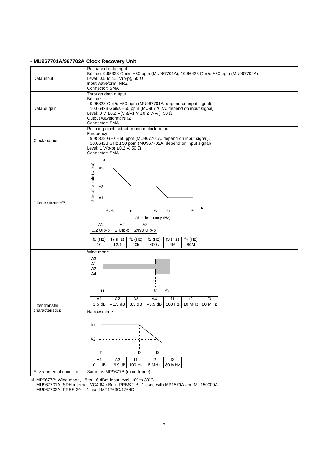### **• MU967701A/967702A Clock Recovery Unit**



∗1 MP9677B: Wide mode, –8 to –6 dBm input level, 10˚ to 30˚C MU967701A: SDH internal, VC4-64c-Bulk, PRBS 223 –1 used with MP1570A and MU150000A MU967702A: PRBS 223 – 1 used MP1763C/1764C